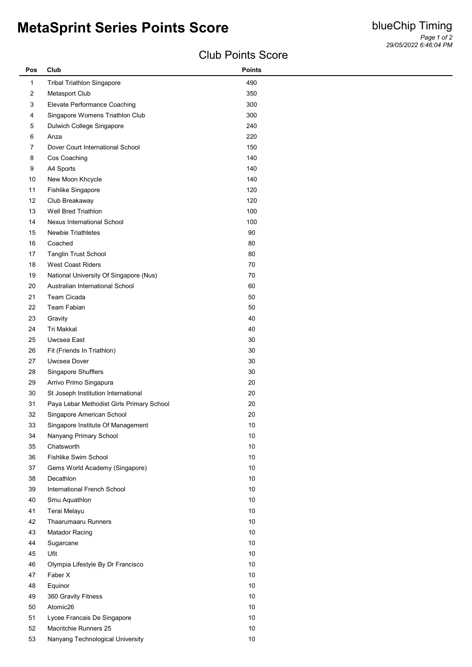## **MetaSprint Series Points Score**

## Club Points Score

| <b>Tribal Triathlon Singapore</b><br>490<br>$\mathbf{1}$<br>$\overline{\mathbf{c}}$<br>Metasport Club<br>350<br>3<br>Elevate Performance Coaching<br>300<br>Singapore Womens Triathlon Club<br>300<br>4<br>Dulwich College Singapore<br>240<br>5<br>6<br>220<br>Anza<br>Dover Court International School<br>150<br>7<br>140<br>8<br>Cos Coaching<br>9<br>A4 Sports<br>140<br>10<br>New Moon Khcycle<br>140<br>11<br>Fishlike Singapore<br>120<br>Club Breakaway<br>120<br>12<br>13<br>Well Bred Triathlon<br>100<br>100<br>14<br>Nexus International School<br>$90\,$<br>15<br>Newbie Triathletes<br>16<br>Coached<br>80<br>17<br><b>Tanglin Trust School</b><br>80<br>18<br><b>West Coast Riders</b><br>70<br>19<br>National University Of Singapore (Nus)<br>70<br>20<br>Australian International School<br>60<br>21<br>Team Cicada<br>50<br>Team Fabian<br>22<br>50<br>23<br>Gravity<br>40<br>24<br>Tri Makkal<br>40<br>25<br>Uwcsea East<br>30<br>$26\,$<br>30<br>Fit (Friends In Triathlon)<br>Uwcsea Dover<br>27<br>30<br>28<br>Singapore Shufflers<br>30<br>29<br>Arrivo Primo Singapura<br>$20\,$<br>30<br>St Joseph Institution International<br>20<br>Paya Lebar Methodist Girls Primary School<br>$20\,$<br>31<br>32<br>20<br>Singapore American School<br>33<br>Singapore Institute Of Management<br>10<br>Nanyang Primary School<br>34<br>10<br>Chatsworth<br>$10$<br>$35\,$<br>$10\,$<br>$36\,$<br>Fishlike Swim School<br>37<br>Gems World Academy (Singapore)<br>10<br>38<br>Decathlon<br>10<br>International French School<br>$10\,$<br>39<br>$10\,$<br>40<br>Smu Aquathlon<br>Terai Melayu<br>41<br>10<br>42<br>Thaarumaaru Runners<br>10<br>$10$<br>43<br>Matador Racing<br>$10$<br>44<br>Sugarcane<br>45<br>Ufit<br>10<br>46<br>Olympia Lifestyle By Dr Francisco<br>10<br>$10$<br>47<br>Faber X<br>$10\,$<br>Equinor<br>48<br>49<br>360 Gravity Fitness<br>10<br>50<br>Atomic26<br>10<br>$10$<br>51 | Pos | Club                                                 | <b>Points</b> |
|--------------------------------------------------------------------------------------------------------------------------------------------------------------------------------------------------------------------------------------------------------------------------------------------------------------------------------------------------------------------------------------------------------------------------------------------------------------------------------------------------------------------------------------------------------------------------------------------------------------------------------------------------------------------------------------------------------------------------------------------------------------------------------------------------------------------------------------------------------------------------------------------------------------------------------------------------------------------------------------------------------------------------------------------------------------------------------------------------------------------------------------------------------------------------------------------------------------------------------------------------------------------------------------------------------------------------------------------------------------------------------------------------------------------------------------------------------------------------------------------------------------------------------------------------------------------------------------------------------------------------------------------------------------------------------------------------------------------------------------------------------------------------------------------------------------------------------------------------------------------------------------------------------------------------|-----|------------------------------------------------------|---------------|
|                                                                                                                                                                                                                                                                                                                                                                                                                                                                                                                                                                                                                                                                                                                                                                                                                                                                                                                                                                                                                                                                                                                                                                                                                                                                                                                                                                                                                                                                                                                                                                                                                                                                                                                                                                                                                                                                                                                          |     |                                                      |               |
|                                                                                                                                                                                                                                                                                                                                                                                                                                                                                                                                                                                                                                                                                                                                                                                                                                                                                                                                                                                                                                                                                                                                                                                                                                                                                                                                                                                                                                                                                                                                                                                                                                                                                                                                                                                                                                                                                                                          |     |                                                      |               |
|                                                                                                                                                                                                                                                                                                                                                                                                                                                                                                                                                                                                                                                                                                                                                                                                                                                                                                                                                                                                                                                                                                                                                                                                                                                                                                                                                                                                                                                                                                                                                                                                                                                                                                                                                                                                                                                                                                                          |     |                                                      |               |
|                                                                                                                                                                                                                                                                                                                                                                                                                                                                                                                                                                                                                                                                                                                                                                                                                                                                                                                                                                                                                                                                                                                                                                                                                                                                                                                                                                                                                                                                                                                                                                                                                                                                                                                                                                                                                                                                                                                          |     |                                                      |               |
|                                                                                                                                                                                                                                                                                                                                                                                                                                                                                                                                                                                                                                                                                                                                                                                                                                                                                                                                                                                                                                                                                                                                                                                                                                                                                                                                                                                                                                                                                                                                                                                                                                                                                                                                                                                                                                                                                                                          |     |                                                      |               |
|                                                                                                                                                                                                                                                                                                                                                                                                                                                                                                                                                                                                                                                                                                                                                                                                                                                                                                                                                                                                                                                                                                                                                                                                                                                                                                                                                                                                                                                                                                                                                                                                                                                                                                                                                                                                                                                                                                                          |     |                                                      |               |
|                                                                                                                                                                                                                                                                                                                                                                                                                                                                                                                                                                                                                                                                                                                                                                                                                                                                                                                                                                                                                                                                                                                                                                                                                                                                                                                                                                                                                                                                                                                                                                                                                                                                                                                                                                                                                                                                                                                          |     |                                                      |               |
|                                                                                                                                                                                                                                                                                                                                                                                                                                                                                                                                                                                                                                                                                                                                                                                                                                                                                                                                                                                                                                                                                                                                                                                                                                                                                                                                                                                                                                                                                                                                                                                                                                                                                                                                                                                                                                                                                                                          |     |                                                      |               |
|                                                                                                                                                                                                                                                                                                                                                                                                                                                                                                                                                                                                                                                                                                                                                                                                                                                                                                                                                                                                                                                                                                                                                                                                                                                                                                                                                                                                                                                                                                                                                                                                                                                                                                                                                                                                                                                                                                                          |     |                                                      |               |
|                                                                                                                                                                                                                                                                                                                                                                                                                                                                                                                                                                                                                                                                                                                                                                                                                                                                                                                                                                                                                                                                                                                                                                                                                                                                                                                                                                                                                                                                                                                                                                                                                                                                                                                                                                                                                                                                                                                          |     |                                                      |               |
|                                                                                                                                                                                                                                                                                                                                                                                                                                                                                                                                                                                                                                                                                                                                                                                                                                                                                                                                                                                                                                                                                                                                                                                                                                                                                                                                                                                                                                                                                                                                                                                                                                                                                                                                                                                                                                                                                                                          |     |                                                      |               |
|                                                                                                                                                                                                                                                                                                                                                                                                                                                                                                                                                                                                                                                                                                                                                                                                                                                                                                                                                                                                                                                                                                                                                                                                                                                                                                                                                                                                                                                                                                                                                                                                                                                                                                                                                                                                                                                                                                                          |     |                                                      |               |
|                                                                                                                                                                                                                                                                                                                                                                                                                                                                                                                                                                                                                                                                                                                                                                                                                                                                                                                                                                                                                                                                                                                                                                                                                                                                                                                                                                                                                                                                                                                                                                                                                                                                                                                                                                                                                                                                                                                          |     |                                                      |               |
|                                                                                                                                                                                                                                                                                                                                                                                                                                                                                                                                                                                                                                                                                                                                                                                                                                                                                                                                                                                                                                                                                                                                                                                                                                                                                                                                                                                                                                                                                                                                                                                                                                                                                                                                                                                                                                                                                                                          |     |                                                      |               |
|                                                                                                                                                                                                                                                                                                                                                                                                                                                                                                                                                                                                                                                                                                                                                                                                                                                                                                                                                                                                                                                                                                                                                                                                                                                                                                                                                                                                                                                                                                                                                                                                                                                                                                                                                                                                                                                                                                                          |     |                                                      |               |
|                                                                                                                                                                                                                                                                                                                                                                                                                                                                                                                                                                                                                                                                                                                                                                                                                                                                                                                                                                                                                                                                                                                                                                                                                                                                                                                                                                                                                                                                                                                                                                                                                                                                                                                                                                                                                                                                                                                          |     |                                                      |               |
|                                                                                                                                                                                                                                                                                                                                                                                                                                                                                                                                                                                                                                                                                                                                                                                                                                                                                                                                                                                                                                                                                                                                                                                                                                                                                                                                                                                                                                                                                                                                                                                                                                                                                                                                                                                                                                                                                                                          |     |                                                      |               |
|                                                                                                                                                                                                                                                                                                                                                                                                                                                                                                                                                                                                                                                                                                                                                                                                                                                                                                                                                                                                                                                                                                                                                                                                                                                                                                                                                                                                                                                                                                                                                                                                                                                                                                                                                                                                                                                                                                                          |     |                                                      |               |
|                                                                                                                                                                                                                                                                                                                                                                                                                                                                                                                                                                                                                                                                                                                                                                                                                                                                                                                                                                                                                                                                                                                                                                                                                                                                                                                                                                                                                                                                                                                                                                                                                                                                                                                                                                                                                                                                                                                          |     |                                                      |               |
|                                                                                                                                                                                                                                                                                                                                                                                                                                                                                                                                                                                                                                                                                                                                                                                                                                                                                                                                                                                                                                                                                                                                                                                                                                                                                                                                                                                                                                                                                                                                                                                                                                                                                                                                                                                                                                                                                                                          |     |                                                      |               |
|                                                                                                                                                                                                                                                                                                                                                                                                                                                                                                                                                                                                                                                                                                                                                                                                                                                                                                                                                                                                                                                                                                                                                                                                                                                                                                                                                                                                                                                                                                                                                                                                                                                                                                                                                                                                                                                                                                                          |     |                                                      |               |
|                                                                                                                                                                                                                                                                                                                                                                                                                                                                                                                                                                                                                                                                                                                                                                                                                                                                                                                                                                                                                                                                                                                                                                                                                                                                                                                                                                                                                                                                                                                                                                                                                                                                                                                                                                                                                                                                                                                          |     |                                                      |               |
|                                                                                                                                                                                                                                                                                                                                                                                                                                                                                                                                                                                                                                                                                                                                                                                                                                                                                                                                                                                                                                                                                                                                                                                                                                                                                                                                                                                                                                                                                                                                                                                                                                                                                                                                                                                                                                                                                                                          |     |                                                      |               |
|                                                                                                                                                                                                                                                                                                                                                                                                                                                                                                                                                                                                                                                                                                                                                                                                                                                                                                                                                                                                                                                                                                                                                                                                                                                                                                                                                                                                                                                                                                                                                                                                                                                                                                                                                                                                                                                                                                                          |     |                                                      |               |
|                                                                                                                                                                                                                                                                                                                                                                                                                                                                                                                                                                                                                                                                                                                                                                                                                                                                                                                                                                                                                                                                                                                                                                                                                                                                                                                                                                                                                                                                                                                                                                                                                                                                                                                                                                                                                                                                                                                          |     |                                                      |               |
|                                                                                                                                                                                                                                                                                                                                                                                                                                                                                                                                                                                                                                                                                                                                                                                                                                                                                                                                                                                                                                                                                                                                                                                                                                                                                                                                                                                                                                                                                                                                                                                                                                                                                                                                                                                                                                                                                                                          |     |                                                      |               |
|                                                                                                                                                                                                                                                                                                                                                                                                                                                                                                                                                                                                                                                                                                                                                                                                                                                                                                                                                                                                                                                                                                                                                                                                                                                                                                                                                                                                                                                                                                                                                                                                                                                                                                                                                                                                                                                                                                                          |     |                                                      |               |
|                                                                                                                                                                                                                                                                                                                                                                                                                                                                                                                                                                                                                                                                                                                                                                                                                                                                                                                                                                                                                                                                                                                                                                                                                                                                                                                                                                                                                                                                                                                                                                                                                                                                                                                                                                                                                                                                                                                          |     |                                                      |               |
|                                                                                                                                                                                                                                                                                                                                                                                                                                                                                                                                                                                                                                                                                                                                                                                                                                                                                                                                                                                                                                                                                                                                                                                                                                                                                                                                                                                                                                                                                                                                                                                                                                                                                                                                                                                                                                                                                                                          |     |                                                      |               |
|                                                                                                                                                                                                                                                                                                                                                                                                                                                                                                                                                                                                                                                                                                                                                                                                                                                                                                                                                                                                                                                                                                                                                                                                                                                                                                                                                                                                                                                                                                                                                                                                                                                                                                                                                                                                                                                                                                                          |     |                                                      |               |
|                                                                                                                                                                                                                                                                                                                                                                                                                                                                                                                                                                                                                                                                                                                                                                                                                                                                                                                                                                                                                                                                                                                                                                                                                                                                                                                                                                                                                                                                                                                                                                                                                                                                                                                                                                                                                                                                                                                          |     |                                                      |               |
|                                                                                                                                                                                                                                                                                                                                                                                                                                                                                                                                                                                                                                                                                                                                                                                                                                                                                                                                                                                                                                                                                                                                                                                                                                                                                                                                                                                                                                                                                                                                                                                                                                                                                                                                                                                                                                                                                                                          |     |                                                      |               |
|                                                                                                                                                                                                                                                                                                                                                                                                                                                                                                                                                                                                                                                                                                                                                                                                                                                                                                                                                                                                                                                                                                                                                                                                                                                                                                                                                                                                                                                                                                                                                                                                                                                                                                                                                                                                                                                                                                                          |     |                                                      |               |
|                                                                                                                                                                                                                                                                                                                                                                                                                                                                                                                                                                                                                                                                                                                                                                                                                                                                                                                                                                                                                                                                                                                                                                                                                                                                                                                                                                                                                                                                                                                                                                                                                                                                                                                                                                                                                                                                                                                          |     |                                                      |               |
|                                                                                                                                                                                                                                                                                                                                                                                                                                                                                                                                                                                                                                                                                                                                                                                                                                                                                                                                                                                                                                                                                                                                                                                                                                                                                                                                                                                                                                                                                                                                                                                                                                                                                                                                                                                                                                                                                                                          |     |                                                      |               |
|                                                                                                                                                                                                                                                                                                                                                                                                                                                                                                                                                                                                                                                                                                                                                                                                                                                                                                                                                                                                                                                                                                                                                                                                                                                                                                                                                                                                                                                                                                                                                                                                                                                                                                                                                                                                                                                                                                                          |     |                                                      |               |
|                                                                                                                                                                                                                                                                                                                                                                                                                                                                                                                                                                                                                                                                                                                                                                                                                                                                                                                                                                                                                                                                                                                                                                                                                                                                                                                                                                                                                                                                                                                                                                                                                                                                                                                                                                                                                                                                                                                          |     |                                                      |               |
|                                                                                                                                                                                                                                                                                                                                                                                                                                                                                                                                                                                                                                                                                                                                                                                                                                                                                                                                                                                                                                                                                                                                                                                                                                                                                                                                                                                                                                                                                                                                                                                                                                                                                                                                                                                                                                                                                                                          |     |                                                      |               |
|                                                                                                                                                                                                                                                                                                                                                                                                                                                                                                                                                                                                                                                                                                                                                                                                                                                                                                                                                                                                                                                                                                                                                                                                                                                                                                                                                                                                                                                                                                                                                                                                                                                                                                                                                                                                                                                                                                                          |     |                                                      |               |
|                                                                                                                                                                                                                                                                                                                                                                                                                                                                                                                                                                                                                                                                                                                                                                                                                                                                                                                                                                                                                                                                                                                                                                                                                                                                                                                                                                                                                                                                                                                                                                                                                                                                                                                                                                                                                                                                                                                          |     |                                                      |               |
|                                                                                                                                                                                                                                                                                                                                                                                                                                                                                                                                                                                                                                                                                                                                                                                                                                                                                                                                                                                                                                                                                                                                                                                                                                                                                                                                                                                                                                                                                                                                                                                                                                                                                                                                                                                                                                                                                                                          |     |                                                      |               |
|                                                                                                                                                                                                                                                                                                                                                                                                                                                                                                                                                                                                                                                                                                                                                                                                                                                                                                                                                                                                                                                                                                                                                                                                                                                                                                                                                                                                                                                                                                                                                                                                                                                                                                                                                                                                                                                                                                                          |     |                                                      |               |
|                                                                                                                                                                                                                                                                                                                                                                                                                                                                                                                                                                                                                                                                                                                                                                                                                                                                                                                                                                                                                                                                                                                                                                                                                                                                                                                                                                                                                                                                                                                                                                                                                                                                                                                                                                                                                                                                                                                          |     |                                                      |               |
|                                                                                                                                                                                                                                                                                                                                                                                                                                                                                                                                                                                                                                                                                                                                                                                                                                                                                                                                                                                                                                                                                                                                                                                                                                                                                                                                                                                                                                                                                                                                                                                                                                                                                                                                                                                                                                                                                                                          |     |                                                      |               |
|                                                                                                                                                                                                                                                                                                                                                                                                                                                                                                                                                                                                                                                                                                                                                                                                                                                                                                                                                                                                                                                                                                                                                                                                                                                                                                                                                                                                                                                                                                                                                                                                                                                                                                                                                                                                                                                                                                                          |     |                                                      |               |
|                                                                                                                                                                                                                                                                                                                                                                                                                                                                                                                                                                                                                                                                                                                                                                                                                                                                                                                                                                                                                                                                                                                                                                                                                                                                                                                                                                                                                                                                                                                                                                                                                                                                                                                                                                                                                                                                                                                          |     |                                                      |               |
|                                                                                                                                                                                                                                                                                                                                                                                                                                                                                                                                                                                                                                                                                                                                                                                                                                                                                                                                                                                                                                                                                                                                                                                                                                                                                                                                                                                                                                                                                                                                                                                                                                                                                                                                                                                                                                                                                                                          |     |                                                      |               |
|                                                                                                                                                                                                                                                                                                                                                                                                                                                                                                                                                                                                                                                                                                                                                                                                                                                                                                                                                                                                                                                                                                                                                                                                                                                                                                                                                                                                                                                                                                                                                                                                                                                                                                                                                                                                                                                                                                                          |     |                                                      |               |
|                                                                                                                                                                                                                                                                                                                                                                                                                                                                                                                                                                                                                                                                                                                                                                                                                                                                                                                                                                                                                                                                                                                                                                                                                                                                                                                                                                                                                                                                                                                                                                                                                                                                                                                                                                                                                                                                                                                          |     |                                                      |               |
|                                                                                                                                                                                                                                                                                                                                                                                                                                                                                                                                                                                                                                                                                                                                                                                                                                                                                                                                                                                                                                                                                                                                                                                                                                                                                                                                                                                                                                                                                                                                                                                                                                                                                                                                                                                                                                                                                                                          |     |                                                      |               |
|                                                                                                                                                                                                                                                                                                                                                                                                                                                                                                                                                                                                                                                                                                                                                                                                                                                                                                                                                                                                                                                                                                                                                                                                                                                                                                                                                                                                                                                                                                                                                                                                                                                                                                                                                                                                                                                                                                                          |     |                                                      |               |
| 53<br>Nanyang Technological University<br>$10\,$                                                                                                                                                                                                                                                                                                                                                                                                                                                                                                                                                                                                                                                                                                                                                                                                                                                                                                                                                                                                                                                                                                                                                                                                                                                                                                                                                                                                                                                                                                                                                                                                                                                                                                                                                                                                                                                                         | 52  | Lycee Francais De Singapore<br>Macritchie Runners 25 | $10\,$        |